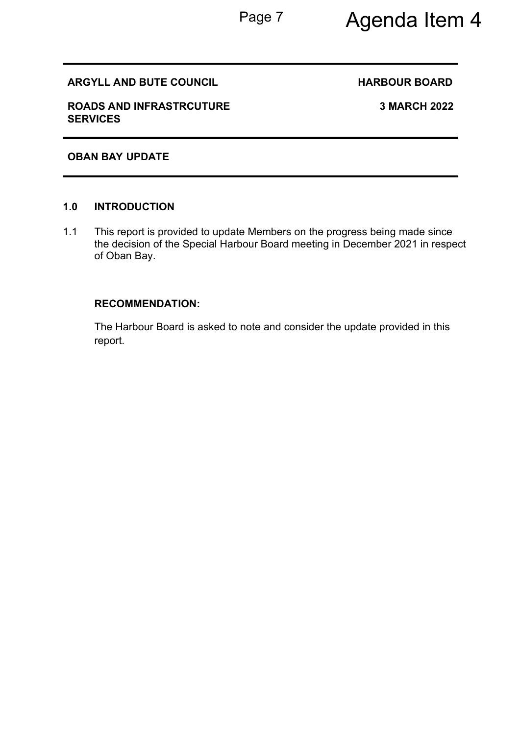# Page 7 Agenda Item 4

### **ARGYLL AND BUTE COUNCIL COUNCIL BOARD HARBOUR BOARD**

**ROADS AND INFRASTRCUTURE SERVICES** 

**3 MARCH 2022** 

### **OBAN BAY UPDATE**

#### **1.0 INTRODUCTION**

1.1 This report is provided to update Members on the progress being made since the decision of the Special Harbour Board meeting in December 2021 in respect of Oban Bay.

#### **RECOMMENDATION:**

The Harbour Board is asked to note and consider the update provided in this report.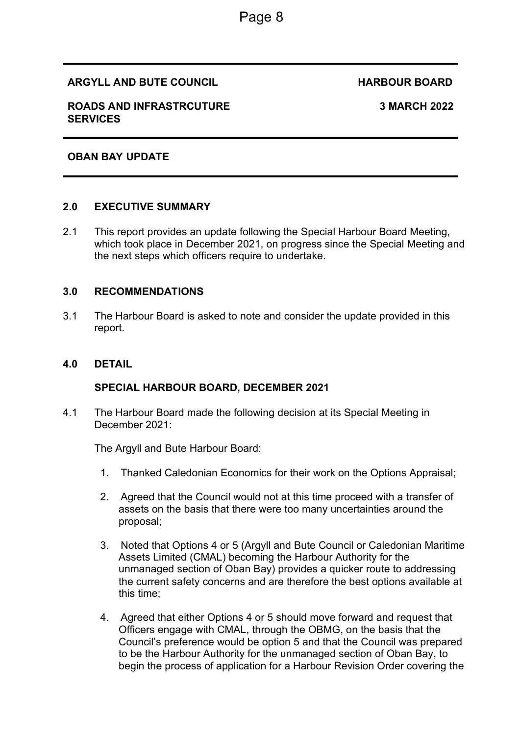#### **ARGYLL AND BUTE COUNCIL COUNCIL BOARD HARBOUR BOARD**

#### **ROADS AND INFRASTRCUTURE SERVICES**

#### **3 MARCH 2022**

#### **OBAN BAY UPDATE**

#### **2.0 EXECUTIVE SUMMARY**

2.1 This report provides an update following the Special Harbour Board Meeting, which took place in December 2021, on progress since the Special Meeting and the next steps which officers require to undertake.

#### **3.0 RECOMMENDATIONS**

3.1 The Harbour Board is asked to note and consider the update provided in this report.

#### **4.0 DETAIL**

#### **SPECIAL HARBOUR BOARD, DECEMBER 2021**

4.1 The Harbour Board made the following decision at its Special Meeting in December 2021:

The Argyll and Bute Harbour Board:

- 1. Thanked Caledonian Economics for their work on the Options Appraisal;
- 2. Agreed that the Council would not at this time proceed with a transfer of assets on the basis that there were too many uncertainties around the proposal;
- 3. Noted that Options 4 or 5 (Argyll and Bute Council or Caledonian Maritime Assets Limited (CMAL) becoming the Harbour Authority for the unmanaged section of Oban Bay) provides a quicker route to addressing the current safety concerns and are therefore the best options available at this time;
- 4. Agreed that either Options 4 or 5 should move forward and request that Officers engage with CMAL, through the OBMG, on the basis that the Council's preference would be option 5 and that the Council was prepared to be the Harbour Authority for the unmanaged section of Oban Bay, to begin the process of application for a Harbour Revision Order covering the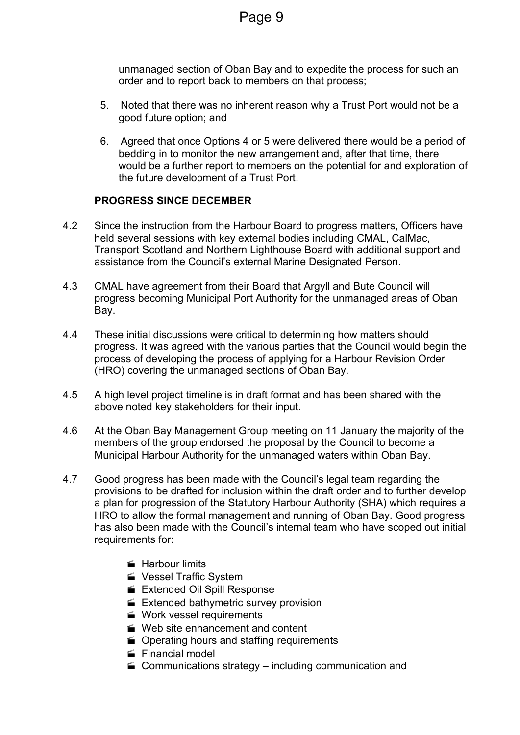unmanaged section of Oban Bay and to expedite the process for such an order and to report back to members on that process;

- 5. Noted that there was no inherent reason why a Trust Port would not be a good future option; and
- 6. Agreed that once Options 4 or 5 were delivered there would be a period of bedding in to monitor the new arrangement and, after that time, there would be a further report to members on the potential for and exploration of the future development of a Trust Port.

### **PROGRESS SINCE DECEMBER**

- 4.2 Since the instruction from the Harbour Board to progress matters, Officers have held several sessions with key external bodies including CMAL, CalMac, Transport Scotland and Northern Lighthouse Board with additional support and assistance from the Council's external Marine Designated Person.
- 4.3 CMAL have agreement from their Board that Argyll and Bute Council will progress becoming Municipal Port Authority for the unmanaged areas of Oban Bay.
- 4.4 These initial discussions were critical to determining how matters should progress. It was agreed with the various parties that the Council would begin the process of developing the process of applying for a Harbour Revision Order (HRO) covering the unmanaged sections of Oban Bay.
- 4.5 A high level project timeline is in draft format and has been shared with the above noted key stakeholders for their input.
- 4.6 At the Oban Bay Management Group meeting on 11 January the majority of the members of the group endorsed the proposal by the Council to become a Municipal Harbour Authority for the unmanaged waters within Oban Bay.
- 4.7 Good progress has been made with the Council's legal team regarding the provisions to be drafted for inclusion within the draft order and to further develop a plan for progression of the Statutory Harbour Authority (SHA) which requires a HRO to allow the formal management and running of Oban Bay. Good progress has also been made with the Council's internal team who have scoped out initial requirements for:
	- **Harbour limits**
	- Vessel Traffic System
	- Extended Oil Spill Response
	- Extended bathymetric survey provision
	- **Work vessel requirements**
	- Web site enhancement and content
	- **■** Operating hours and staffing requirements
	- Financial model
	- $\blacktriangleright$  Communications strategy including communication and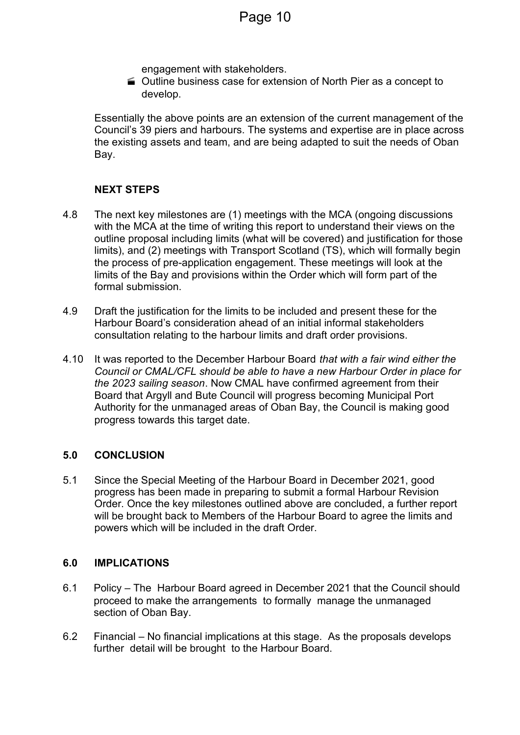engagement with stakeholders.

 Outline business case for extension of North Pier as a concept to develop.

Essentially the above points are an extension of the current management of the Council's 39 piers and harbours. The systems and expertise are in place across the existing assets and team, and are being adapted to suit the needs of Oban Bay.

### **NEXT STEPS**

- 4.8 The next key milestones are (1) meetings with the MCA (ongoing discussions with the MCA at the time of writing this report to understand their views on the outline proposal including limits (what will be covered) and justification for those limits), and (2) meetings with Transport Scotland (TS), which will formally begin the process of pre-application engagement. These meetings will look at the limits of the Bay and provisions within the Order which will form part of the formal submission.
- 4.9 Draft the justification for the limits to be included and present these for the Harbour Board's consideration ahead of an initial informal stakeholders consultation relating to the harbour limits and draft order provisions.
- 4.10 It was reported to the December Harbour Board *that with a fair wind either the Council or CMAL/CFL should be able to have a new Harbour Order in place for the 2023 sailing season*. Now CMAL have confirmed agreement from their Board that Argyll and Bute Council will progress becoming Municipal Port Authority for the unmanaged areas of Oban Bay, the Council is making good progress towards this target date.

#### **5.0 CONCLUSION**

5.1 Since the Special Meeting of the Harbour Board in December 2021, good progress has been made in preparing to submit a formal Harbour Revision Order. Once the key milestones outlined above are concluded, a further report will be brought back to Members of the Harbour Board to agree the limits and powers which will be included in the draft Order.

#### **6.0 IMPLICATIONS**

- 6.1 Policy The Harbour Board agreed in December 2021 that the Council should proceed to make the arrangements to formally manage the unmanaged section of Oban Bay.
- 6.2 Financial No financial implications at this stage. As the proposals develops further detail will be brought to the Harbour Board.